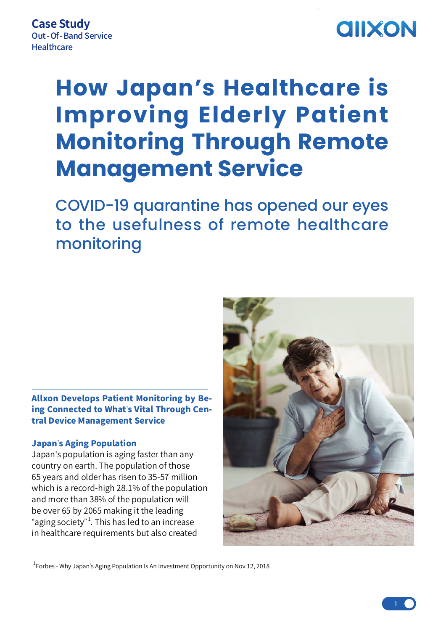## **AIIXON**

# **How Japan's Healthcare is Improving Elderly Patient Monitoring Through Remote Management Service**

COVID-19 quarantine has opened our eyes to the usefulness of remote healthcare monitoring

## Allxon Develops Patient Monitoring by Being Connected to What's Vital Through Central Device Management Service

### Japan's Aging Population

Japan's population is aging faster than any country on earth. The population of those 65 years and older has risen to 35-57 million which is a record-high 28.1% of the population and more than 38% of the population will be over 65 by 2065 making it the leading "aging society" $^{\rm 1}.$  This has led to an increase in healthcare requirements but also created



 $^{\rm 1}$ Forbes - Why Japan's Aging Population Is An Investment Opportunity on Nov.12, 2018

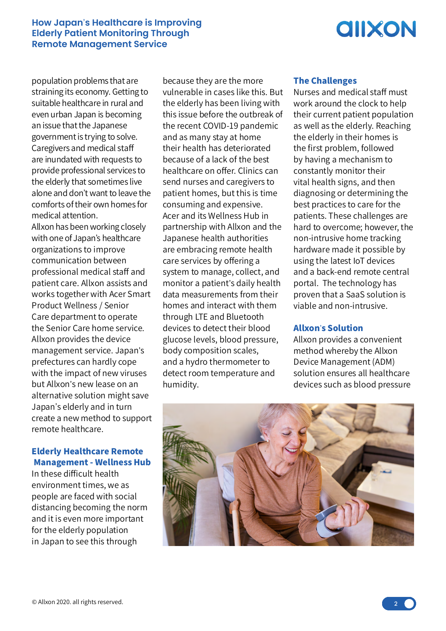#### **How Japan**'**s Healthcare is Improving Elderly Patient Monitoring Through Remote Management Service**

## **AIIXON**

population problems that are straining its economy. Getting to suitable healthcare in rural and even urban Japan is becoming an issue that the Japanese government is trying to solve. Caregivers and medical staff are inundated with requests to provide professional services to the elderly that sometimes live alone and don't want to leave the comforts of their own homes for medical attention.

Allxon has been working closely with one of Japan's healthcare organizations to improve communication between professional medical staff and patient care. Allxon assists and works together with Acer Smart Product Wellness / Senior Care department to operate the Senior Care home service. Allxon provides the device management service. Japan's prefectures can hardly cope with the impact of new viruses but Allxon's new lease on an alternative solution might save Japan's elderly and in turn create a new method to support remote healthcare.

## Elderly Healthcare Remote Management - Wellness Hub

In these difficult health environment times, we as people are faced with social distancing becoming the norm and it is even more important for the elderly population in Japan to see this through

because they are the more vulnerable in cases like this. But the elderly has been living with this issue before the outbreak of the recent COVID-19 pandemic and as many stay at home their health has deteriorated because of a lack of the best healthcare on offer. Clinics can send nurses and caregivers to patient homes, but this is time consuming and expensive. Acer and its Wellness Hub in partnership with Allxon and the Japanese health authorities are embracing remote health care services by offering a system to manage, collect, and monitor a patient's daily health data measurements from their homes and interact with them through LTE and Bluetooth devices to detect their blood glucose levels, blood pressure, body composition scales, and a hydro thermometer to detect room temperature and humidity.

### The Challenges

Nurses and medical staff must work around the clock to help their current patient population as well as the elderly. Reaching the elderly in their homes is the first problem, followed by having a mechanism to constantly monitor their vital health signs, and then diagnosing or determining the best practices to care for the patients. These challenges are hard to overcome; however, the non-intrusive home tracking hardware made it possible by using the latest IoT devices and a back-end remote central portal. The technology has proven that a SaaS solution is viable and non-intrusive.

#### Allxon's Solution

Allxon provides a convenient method whereby the Allxon Device Management (ADM) solution ensures all healthcare devices such as blood pressure